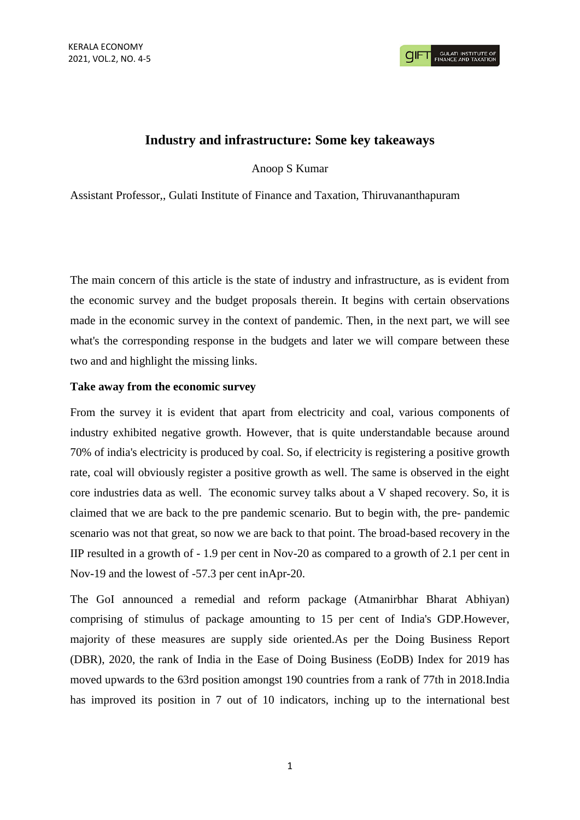## **Industry and infrastructure: Some key takeaways**

Anoop S Kumar

Assistant Professor,, Gulati Institute of Finance and Taxation, Thiruvananthapuram

The main concern of this article is the state of industry and infrastructure, as is evident from the economic survey and the budget proposals therein. It begins with certain observations made in the economic survey in the context of pandemic. Then, in the next part, we will see what's the corresponding response in the budgets and later we will compare between these two and and highlight the missing links.

## **Take away from the economic survey**

From the survey it is evident that apart from electricity and coal, various components of industry exhibited negative growth. However, that is quite understandable because around 70% of india's electricity is produced by coal. So, if electricity is registering a positive growth rate, coal will obviously register a positive growth as well. The same is observed in the eight core industries data as well. The economic survey talks about a V shaped recovery. So, it is claimed that we are back to the pre pandemic scenario. But to begin with, the pre- pandemic scenario was not that great, so now we are back to that point. The broad-based recovery in the IIP resulted in a growth of - 1.9 per cent in Nov-20 as compared to a growth of 2.1 per cent in Nov-19 and the lowest of -57.3 per cent inApr-20.

The GoI announced a remedial and reform package (Atmanirbhar Bharat Abhiyan) comprising of stimulus of package amounting to 15 per cent of India's GDP.However, majority of these measures are supply side oriented.As per the Doing Business Report (DBR), 2020, the rank of India in the Ease of Doing Business (EoDB) Index for 2019 has moved upwards to the 63rd position amongst 190 countries from a rank of 77th in 2018.India has improved its position in 7 out of 10 indicators, inching up to the international best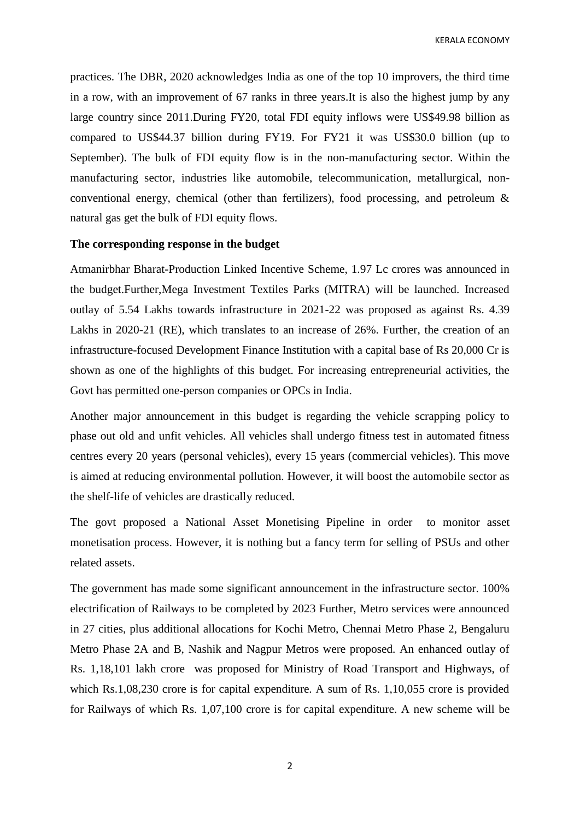KERALA ECONOMY

practices. The DBR, 2020 acknowledges India as one of the top 10 improvers, the third time in a row, with an improvement of 67 ranks in three years.It is also the highest jump by any large country since 2011.During FY20, total FDI equity inflows were US\$49.98 billion as compared to US\$44.37 billion during FY19. For FY21 it was US\$30.0 billion (up to September). The bulk of FDI equity flow is in the non-manufacturing sector. Within the manufacturing sector, industries like automobile, telecommunication, metallurgical, nonconventional energy, chemical (other than fertilizers), food processing, and petroleum & natural gas get the bulk of FDI equity flows.

## **The corresponding response in the budget**

Atmanirbhar Bharat-Production Linked Incentive Scheme, 1.97 Lc crores was announced in the budget.Further,Mega Investment Textiles Parks (MITRA) will be launched. Increased outlay of 5.54 Lakhs towards infrastructure in 2021-22 was proposed as against Rs. 4.39 Lakhs in 2020-21 (RE), which translates to an increase of 26%. Further, the creation of an infrastructure-focused Development Finance Institution with a capital base of Rs 20,000 Cr is shown as one of the highlights of this budget. For increasing entrepreneurial activities, the Govt has permitted one-person companies or OPCs in India.

Another major announcement in this budget is regarding the vehicle scrapping policy to phase out old and unfit vehicles. All vehicles shall undergo fitness test in automated fitness centres every 20 years (personal vehicles), every 15 years (commercial vehicles). This move is aimed at reducing environmental pollution. However, it will boost the automobile sector as the shelf-life of vehicles are drastically reduced.

The govt proposed a National Asset Monetising Pipeline in order to monitor asset monetisation process. However, it is nothing but a fancy term for selling of PSUs and other related assets.

The government has made some significant announcement in the infrastructure sector. 100% electrification of Railways to be completed by 2023 Further, Metro services were announced in 27 cities, plus additional allocations for Kochi Metro, Chennai Metro Phase 2, Bengaluru Metro Phase 2A and B, Nashik and Nagpur Metros were proposed. An enhanced outlay of Rs. 1,18,101 lakh crore was proposed for Ministry of Road Transport and Highways, of which Rs.1,08,230 crore is for capital expenditure. A sum of Rs. 1,10,055 crore is provided for Railways of which Rs. 1,07,100 crore is for capital expenditure. A new scheme will be

2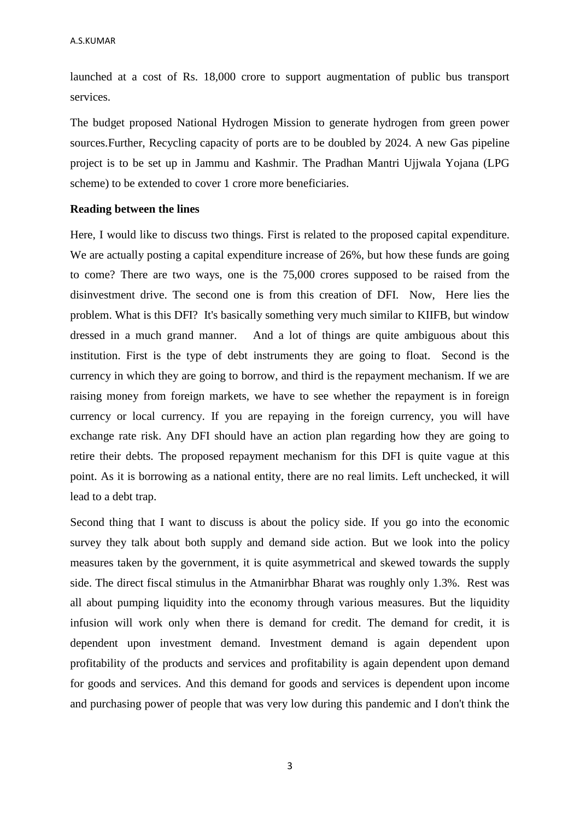launched at a cost of Rs. 18,000 crore to support augmentation of public bus transport services.

The budget proposed National Hydrogen Mission to generate hydrogen from green power sources.Further, Recycling capacity of ports are to be doubled by 2024. A new Gas pipeline project is to be set up in Jammu and Kashmir. The Pradhan Mantri Ujjwala Yojana (LPG scheme) to be extended to cover 1 crore more beneficiaries.

## **Reading between the lines**

Here, I would like to discuss two things. First is related to the proposed capital expenditure. We are actually posting a capital expenditure increase of 26%, but how these funds are going to come? There are two ways, one is the 75,000 crores supposed to be raised from the disinvestment drive. The second one is from this creation of DFI. Now, Here lies the problem. What is this DFI? It's basically something very much similar to KIIFB, but window dressed in a much grand manner. And a lot of things are quite ambiguous about this institution. First is the type of debt instruments they are going to float. Second is the currency in which they are going to borrow, and third is the repayment mechanism. If we are raising money from foreign markets, we have to see whether the repayment is in foreign currency or local currency. If you are repaying in the foreign currency, you will have exchange rate risk. Any DFI should have an action plan regarding how they are going to retire their debts. The proposed repayment mechanism for this DFI is quite vague at this point. As it is borrowing as a national entity, there are no real limits. Left unchecked, it will lead to a debt trap.

Second thing that I want to discuss is about the policy side. If you go into the economic survey they talk about both supply and demand side action. But we look into the policy measures taken by the government, it is quite asymmetrical and skewed towards the supply side. The direct fiscal stimulus in the Atmanirbhar Bharat was roughly only 1.3%. Rest was all about pumping liquidity into the economy through various measures. But the liquidity infusion will work only when there is demand for credit. The demand for credit, it is dependent upon investment demand. Investment demand is again dependent upon profitability of the products and services and profitability is again dependent upon demand for goods and services. And this demand for goods and services is dependent upon income and purchasing power of people that was very low during this pandemic and I don't think the